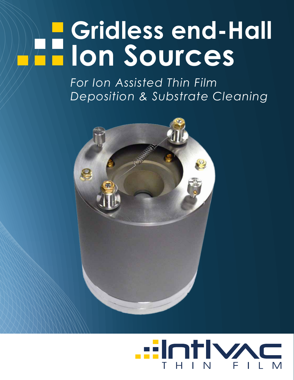# **Gridless end-Hall Ion Sources**

*For Ion Assisted Thin Film Deposition & Substrate Cleaning*



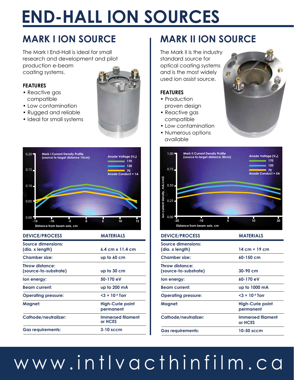### **END-HALL ION SOURCES** 40

## **MARK I ION SOURCE**

The Mark I End-Hall is ideal for small research and development and pilot production e-beam 140 **Substrate Temperature** coating systems. **(at 60cm throw distance)**

#### **FEATURES**

- Reactive gas compatible
- Low contamination
- Rugged and reliable
- Ideal for small systems





| <b>DEVICE/PROCESS</b>                    | <b>MATERIALS</b>                     |
|------------------------------------------|--------------------------------------|
| Source dimensions:<br>(dia. x length)    | $6.4$ cm $x$ 11.4 cm                 |
| <b>Chamber size:</b>                     | up to 60 cm                          |
| Throw distance:<br>(source-to-substrate) | up to 30 cm                          |
| lon energy:                              | 50-170 eV                            |
| <b>Beam current:</b>                     | up to 200 mA                         |
| <b>Operating pressure:</b>               | $<$ 3 $\times$ 10 <sup>-4</sup> Torr |
| Magnet:                                  | <b>High-Curie point</b><br>permanent |
| Cathode/neutralizer:                     | <b>Immersed filament</b><br>or HCES  |
| <b>Gas requirements:</b>                 | $3-10$ sccm                          |

#### **MARK II ION SOURCE** 0 **Temp Fil, 5 Amps, without cooling**

**Anode Voltage (Va)**

**Fil, 5 Amps, with cooling**

**170 120 70**

**Anode Conduct = 1A**

The Mark II is the industry standard source for optical coating systems and is the most widely used ion assist source.

#### **FEATURES**

- Production proven design **I**en current density,  $\blacksquare$
- $\bullet$  Reactive gas compatible
- Low contamination
- Numerous options



| <b>DEVICE/PROCESS</b>                    | <b>MATERIALS</b>                     |
|------------------------------------------|--------------------------------------|
| Source dimensions:<br>(dia. x length)    | 14 cm $\times$ 19 cm                 |
| <b>Chamber size:</b>                     | $60 - 150$ cm                        |
| Throw distance:<br>(source-to-substrate) | $30-90$ cm                           |
| lon energy:                              | $60-170eV$                           |
| <b>Beam current:</b>                     | up to 1000 mA                        |
| <b>Operating pressure:</b>               | $<$ 3 $\times$ 10 <sup>-4</sup> Torr |
| Magnet:                                  | <b>High-Curie point</b><br>permanent |
| Cathode/neutralizer:                     | <b>Immersed filament</b><br>or HCES  |
| <b>Gas requirements:</b>                 | 10-50 sccm                           |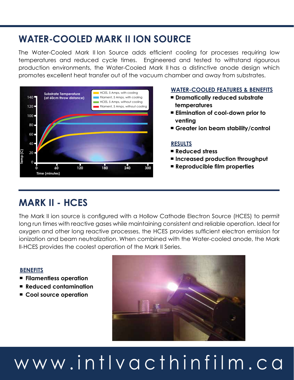### **WATER-COOLED MARK II ION SOURCE**

The Water-Cooled Mark II Ion Source adds efficient cooling for processes requiring low temperatures and reduced cycle times. Engineered and tested to withstand rigourous production environments, the Water-Cooled Mark II has a distinctive anode design which promotes excellent heat transfer out of the vacuum chamber and away from substrates.



#### **WATER-COOLED FEATURES & BENEFITS**

- ▀ **Dramatically reduced substrate temperatures**
- ▀ **Elimination of cool-down prior to venting**
- Greater ion beam stability/control

#### **RESULTS**

- ▀ **Reduced stress**
- ▀ **Increased production throughput**
- ▀ **Reproducible film properties**

### **MARK II - HCES**

The Mark II ion source is configured with a Hollow Cathode Electron Source (HCES) to permit long run times with reactive gases while maintaining consistent and reliable operation. Ideal for oxygen and other long reactive processes, the HCES provides sufficient electron emission for ionization and beam neutralization. When combined with the Water-cooled anode, the Mark II-HCES provides the coolest operation of the Mark II Series.

#### **BENEFITS**

- ▀ **Filamentless operation**
- **Reduced contamination**
- Cool source operation

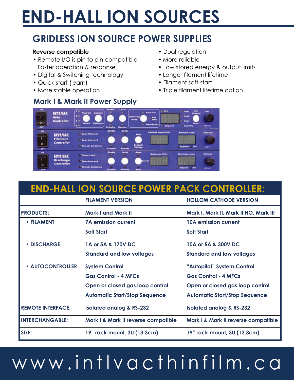## **END-HALL ION SOURCES**

## **GRIDLESS ION SOURCE POWER SUPPLIES**

#### **Reverse compatible**

- Remote I/O is pin to pin compatible Faster operation & response
- Digital & Switching technology
- Quick start (learn)
- More stable operation

#### **Mark I & Mark II Power Supply**

- Dual regulation
- More reliable
- Low stored energy & output limits
- Longer filament lifetime
- Filament soft-start
- Triple filament lifetime option



### **END-HALL ION SOURCE POWER PACK CONTROLLER:**

|                          | <b>FILAMENT VERSION</b>              | <b>HOLLOW CATHODE VERSION</b>         |
|--------------------------|--------------------------------------|---------------------------------------|
| <b>PRODUCTS:</b>         | <b>Mark I and Mark II</b>            | Mark I, Mark II, Mark II HO, Mark III |
| • FILAMENT               | <b>7A emission current</b>           | <b>10A emission current</b>           |
|                          | <b>Soft Start</b>                    | <b>Soft Start</b>                     |
| • DISCHARGE              | 1A or 5A & 170V DC                   | 10A or 5A & 300V DC                   |
|                          | <b>Standard and low voltages</b>     | <b>Standard and low voltages</b>      |
| <b>• AUTOCONTROLLER</b>  | <b>System Control</b>                | "Autopilot" System Control            |
|                          | <b>Gas Control - 4 MFCs</b>          | <b>Gas Control - 4 MFCs</b>           |
|                          | Open or closed gas loop control      | Open or closed gas loop control       |
|                          | <b>Automatic Start/Stop Sequence</b> | <b>Automatic Start/Stop Sequence</b>  |
| <b>REMOTE INTERFACE:</b> | <b>Isolated analog &amp; RS-232</b>  | <b>Isolated analog &amp; RS-232</b>   |
| <b>INTERCHANGABLE:</b>   | Mark I & Mark II reverse compatible  | Mark I & Mark II reverse compatible   |
| SIZE:                    | 19" rack mount, 3U (13.3cm)          | 19" rack mount, 3U (13.3cm)           |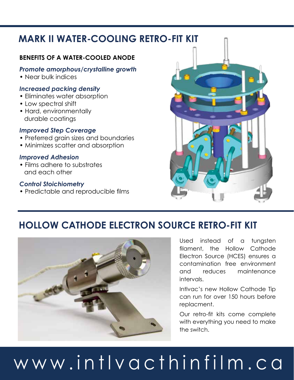### **MARK II WATER-COOLING RETRO-FIT KIT**

#### **BENEFITS OF A WATER-COOLED ANODE**

#### *Promote amorphous/crystalline growth*

• Near bulk indices

#### *Increased packing density*

- Eliminates water absorption
- Low spectral shift
- Hard, environmentally durable coatings

#### *Improved Step Coverage*

- Preferred grain sizes and boundaries
- Minimizes scatter and absorption

#### *Improved Adhesion*

• Films adhere to substrates and each other

#### *Control Stoichiometry*

• Predictable and reproducible films



### **HOLLOW CATHODE ELECTRON SOURCE RETRO-FIT KIT**



Used instead of a tungsten filament, the Hollow Cathode Electron Source (HCES) ensures a contamination free environment and reduces maintenance intervals.

Intlvac's new Hollow Cathode Tip can run for over 150 hours before replacment.

Our retro-fit kits come complete with everything you need to make the switch.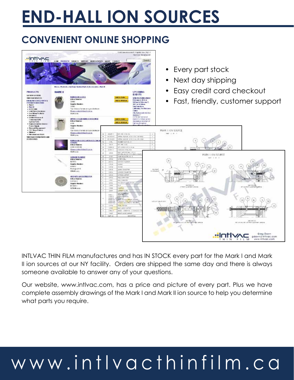## **END-HALL ION SOURCES**

### **CONVENIENT ONLINE SHOPPING**



INTLVAC THIN FILM manufactures and has IN STOCK every part for the Mark I and Mark II ion sources at our NY facility. Orders are shipped the same day and there is always someone available to answer any of your questions.

Our website, www.intlvac.com, has a price and picture of every part. Plus we have complete assembly drawings of the Mark I and Mark II ion source to help you determine what parts you require.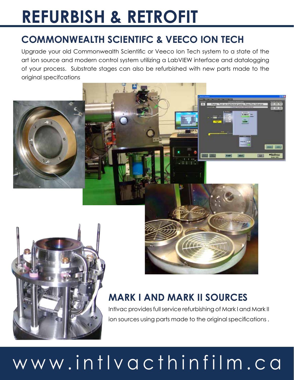## **REFURBISH & RETROFIT**

## **COMMONWEALTH SCIENTIFC & VEECO ION TECH**

Upgrade your old Commonwealth Scientific or Veeco Ion Tech system to a state of the art ion source and modern control system utilizing a LabVIEW interface and datalogging of your process. Substrate stages can also be refurbished with new parts made to the original specifcations







**VENT** 

+Inflyne

## **MARK I AND MARK II SOURCES**

Intlvac provides full service refurbishing of Mark I and Mark II ion sources using parts made to the original specifications .